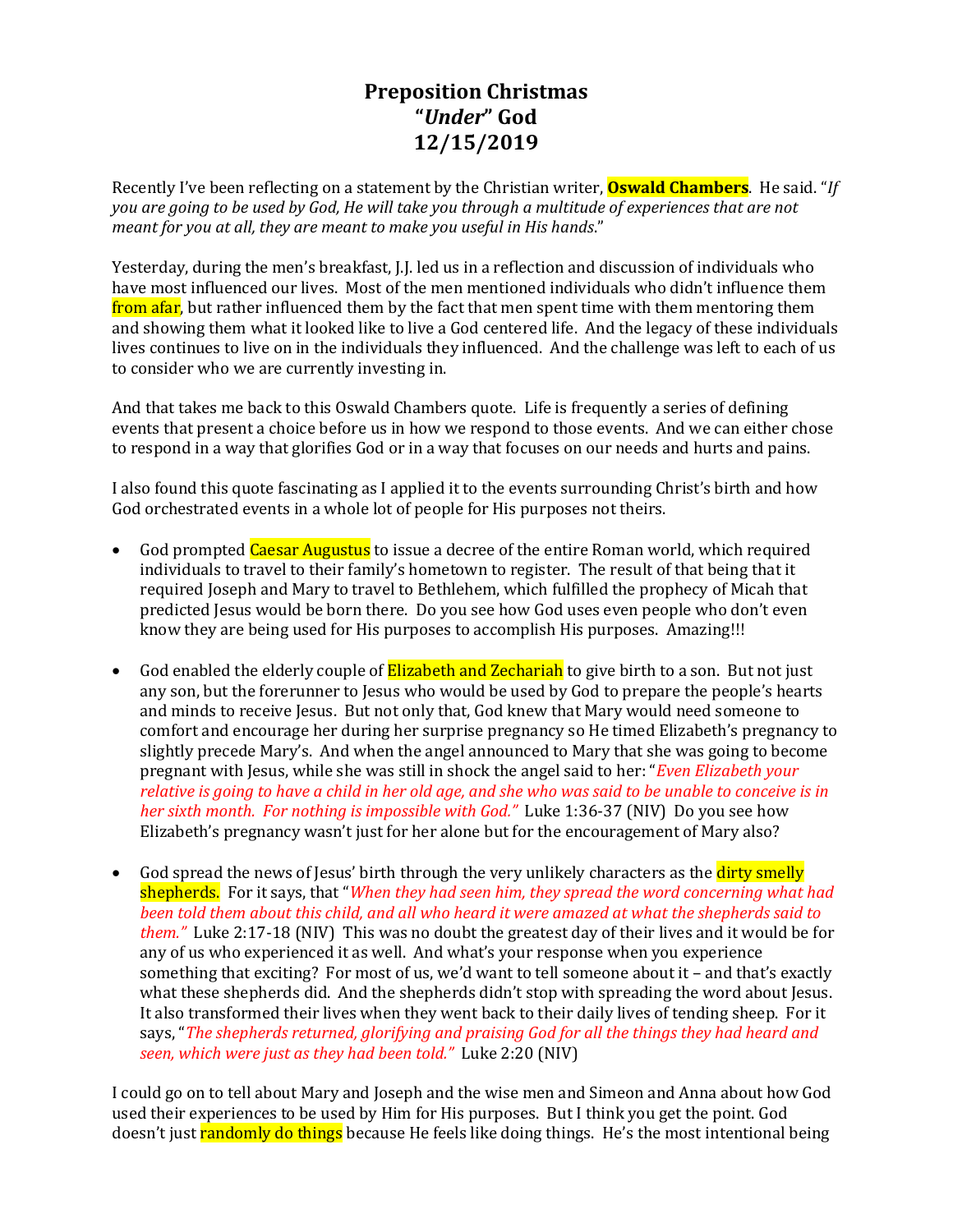# **Preposition Christmas "***Under***" God 12/15/2019**

Recently I've been reflecting on a statement by the Christian writer, **Oswald Chambers**. He said. "*If you are going to be used by God, He will take you through a multitude of experiences that are not meant for you at all, they are meant to make you useful in His hands*."

Yesterday, during the men's breakfast, J.J. led us in a reflection and discussion of individuals who have most influenced our lives. Most of the men mentioned individuals who didn't influence them from afar, but rather influenced them by the fact that men spent time with them mentoring them and showing them what it looked like to live a God centered life. And the legacy of these individuals lives continues to live on in the individuals they influenced. And the challenge was left to each of us to consider who we are currently investing in.

And that takes me back to this Oswald Chambers quote. Life is frequently a series of defining events that present a choice before us in how we respond to those events. And we can either chose to respond in a way that glorifies God or in a way that focuses on our needs and hurts and pains.

I also found this quote fascinating as I applied it to the events surrounding Christ's birth and how God orchestrated events in a whole lot of people for His purposes not theirs.

- God prompted Caesar Augustus to issue a decree of the entire Roman world, which required individuals to travel to their family's hometown to register. The result of that being that it required Joseph and Mary to travel to Bethlehem, which fulfilled the prophecy of Micah that predicted Jesus would be born there. Do you see how God uses even people who don't even know they are being used for His purposes to accomplish His purposes. Amazing!!!
- God enabled the elderly couple of **Elizabeth and Zechariah** to give birth to a son. But not just any son, but the forerunner to Jesus who would be used by God to prepare the people's hearts and minds to receive Jesus. But not only that, God knew that Mary would need someone to comfort and encourage her during her surprise pregnancy so He timed Elizabeth's pregnancy to slightly precede Mary's. And when the angel announced to Mary that she was going to become pregnant with Jesus, while she was still in shock the angel said to her: "*Even Elizabeth your relative is going to have a child in her old age, and she who was said to be unable to conceive is in her sixth month. For nothing is impossible with God."* Luke 1:36-37 (NIV) Do you see how Elizabeth's pregnancy wasn't just for her alone but for the encouragement of Mary also?
- God spread the news of Jesus' birth through the very unlikely characters as the dirty smelly shepherds. For it says, that "*When they had seen him, they spread the word concerning what had been told them about this child, and all who heard it were amazed at what the shepherds said to them."* Luke 2:17-18 (NIV) This was no doubt the greatest day of their lives and it would be for any of us who experienced it as well. And what's your response when you experience something that exciting? For most of us, we'd want to tell someone about it – and that's exactly what these shepherds did. And the shepherds didn't stop with spreading the word about Jesus. It also transformed their lives when they went back to their daily lives of tending sheep. For it says, "*The shepherds returned, glorifying and praising God for all the things they had heard and seen, which were just as they had been told."* Luke 2:20 (NIV)

I could go on to tell about Mary and Joseph and the wise men and Simeon and Anna about how God used their experiences to be used by Him for His purposes. But I think you get the point. God doesn't just randomly do things because He feels like doing things. He's the most intentional being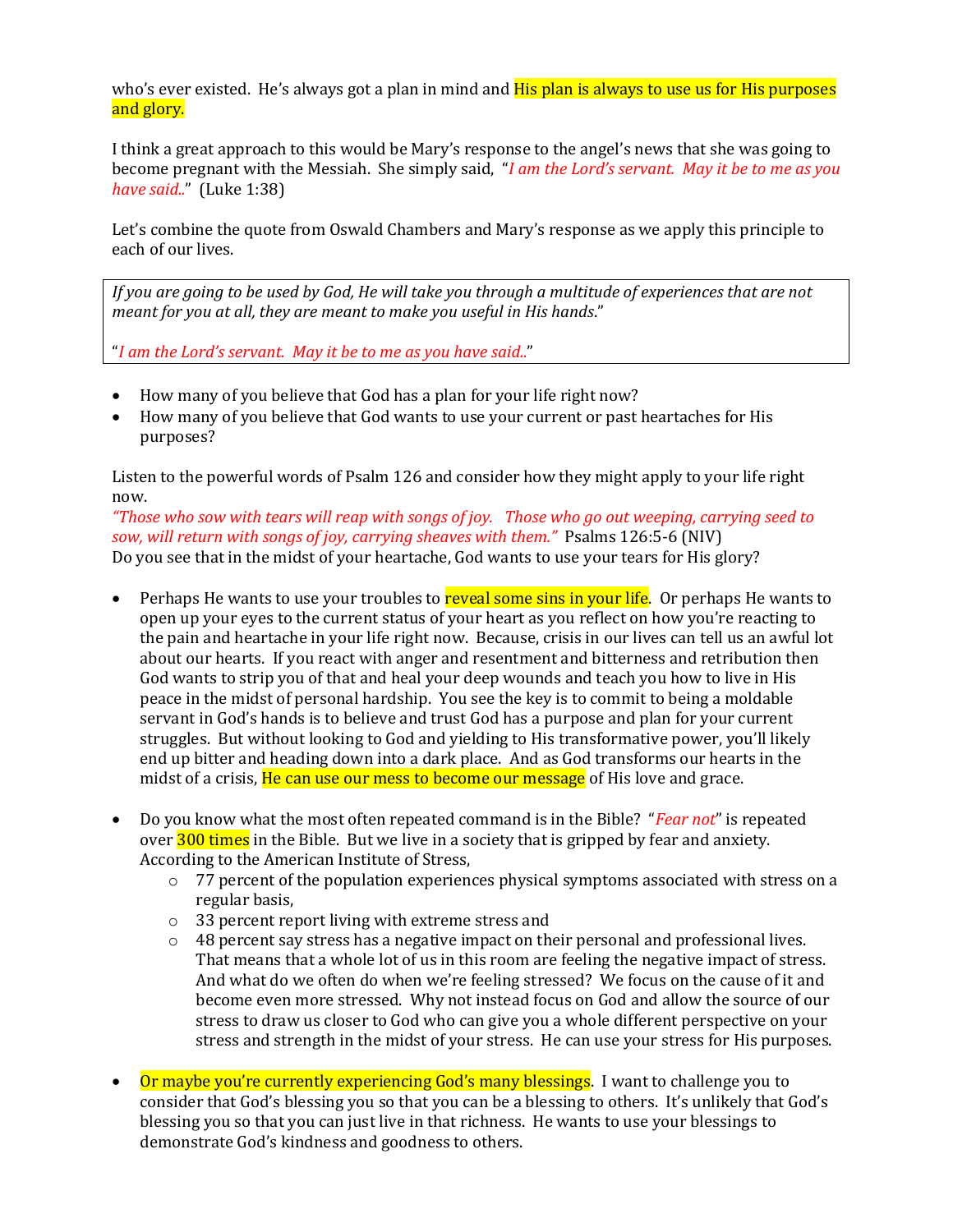who's ever existed. He's always got a plan in mind and **His plan is always to use us for His purposes** and glory.

I think a great approach to this would be Mary's response to the angel's news that she was going to become pregnant with the Messiah. She simply said, "*I am the Lord's servant. May it be to me as you have said..*" (Luke 1:38)

Let's combine the quote from Oswald Chambers and Mary's response as we apply this principle to each of our lives.

*If you are going to be used by God, He will take you through a multitude of experiences that are not meant for you at all, they are meant to make you useful in His hands*."

"*I am the Lord's servant. May it be to me as you have said..*"

- How many of you believe that God has a plan for your life right now?
- How many of you believe that God wants to use your current or past heartaches for His purposes?

Listen to the powerful words of Psalm 126 and consider how they might apply to your life right now.

*"Those who sow with tears will reap with songs of joy. Those who go out weeping, carrying seed to sow, will return with songs of joy, carrying sheaves with them."* Psalms 126:5-6 (NIV) Do you see that in the midst of your heartache, God wants to use your tears for His glory?

- Perhaps He wants to use your troubles to reveal some sins in your life. Or perhaps He wants to open up your eyes to the current status of your heart as you reflect on how you're reacting to the pain and heartache in your life right now. Because, crisis in our lives can tell us an awful lot about our hearts. If you react with anger and resentment and bitterness and retribution then God wants to strip you of that and heal your deep wounds and teach you how to live in His peace in the midst of personal hardship. You see the key is to commit to being a moldable servant in God's hands is to believe and trust God has a purpose and plan for your current struggles. But without looking to God and yielding to His transformative power, you'll likely end up bitter and heading down into a dark place. And as God transforms our hearts in the midst of a crisis, He can use our mess to become our message of His love and grace.
- Do you know what the most often repeated command is in the Bible? "*Fear not*" is repeated over 300 times in the Bible. But we live in a society that is gripped by fear and anxiety. According to the American Institute of Stress,
	- $\circ$  77 percent of the population experiences physical symptoms associated with stress on a regular basis,
	- o 33 percent report living with extreme stress and
	- $\circ$  48 percent say stress has a negative impact on their personal and professional lives. That means that a whole lot of us in this room are feeling the negative impact of stress. And what do we often do when we're feeling stressed? We focus on the cause of it and become even more stressed. Why not instead focus on God and allow the source of our stress to draw us closer to God who can give you a whole different perspective on your stress and strength in the midst of your stress. He can use your stress for His purposes.
- Or maybe you're currently experiencing God's many blessings. I want to challenge you to consider that God's blessing you so that you can be a blessing to others. It's unlikely that God's blessing you so that you can just live in that richness. He wants to use your blessings to demonstrate God's kindness and goodness to others.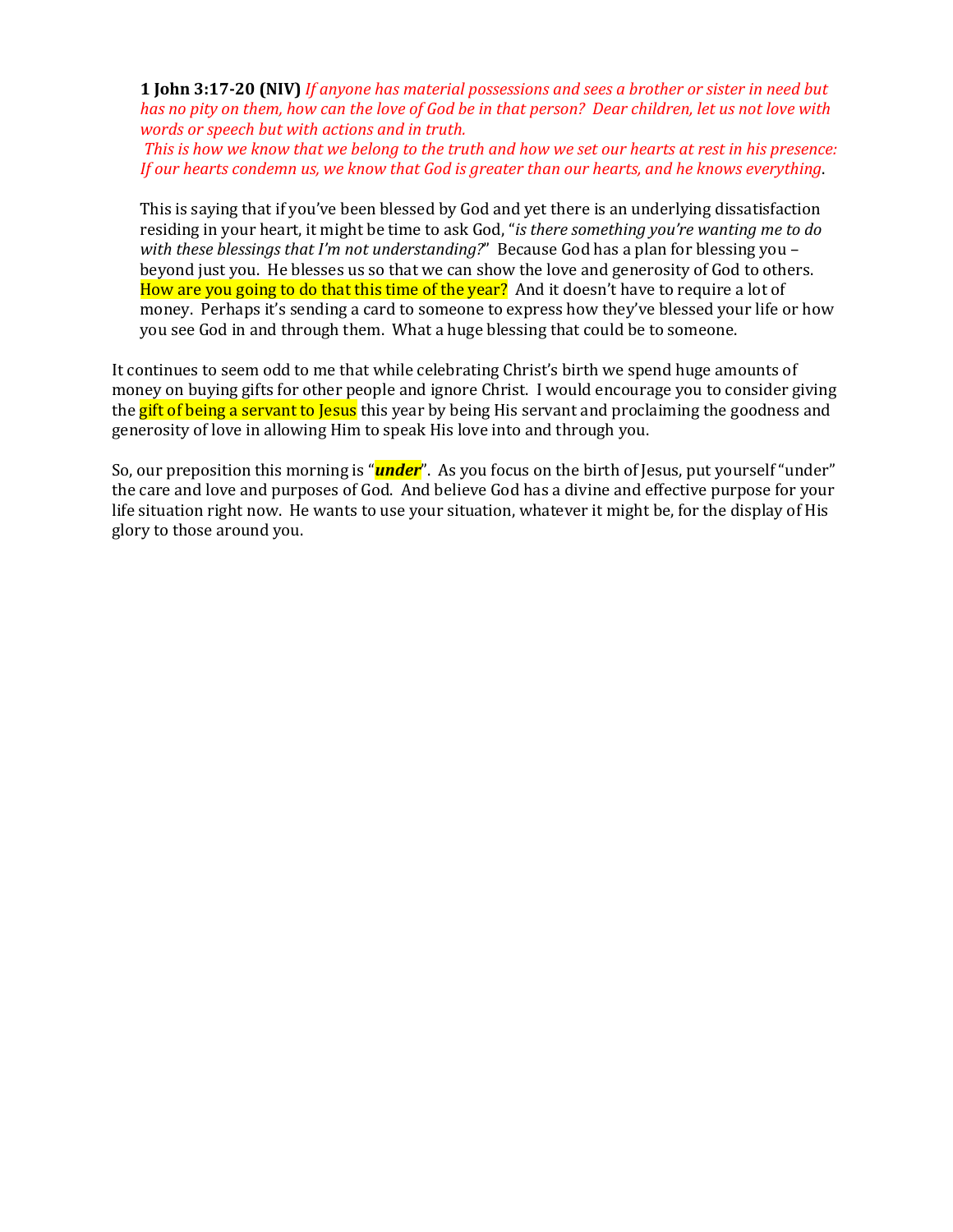**1 John 3:17-20 (NIV)** *If anyone has material possessions and sees a brother or sister in need but has no pity on them, how can the love of God be in that person? Dear children, let us not love with words or speech but with actions and in truth.*

*This is how we know that we belong to the truth and how we set our hearts at rest in his presence: If our hearts condemn us, we know that God is greater than our hearts, and he knows everything*.

This is saying that if you've been blessed by God and yet there is an underlying dissatisfaction residing in your heart, it might be time to ask God, "*is there something you're wanting me to do with these blessings that I'm not understanding?*" Because God has a plan for blessing you – beyond just you. He blesses us so that we can show the love and generosity of God to others. How are you going to do that this time of the year? And it doesn't have to require a lot of money. Perhaps it's sending a card to someone to express how they've blessed your life or how you see God in and through them. What a huge blessing that could be to someone.

It continues to seem odd to me that while celebrating Christ's birth we spend huge amounts of money on buying gifts for other people and ignore Christ. I would encourage you to consider giving the **gift of being a servant to Jesus** this year by being His servant and proclaiming the goodness and generosity of love in allowing Him to speak His love into and through you.

So, our preposition this morning is "*under*". As you focus on the birth of Jesus, put yourself "under" the care and love and purposes of God. And believe God has a divine and effective purpose for your life situation right now. He wants to use your situation, whatever it might be, for the display of His glory to those around you.